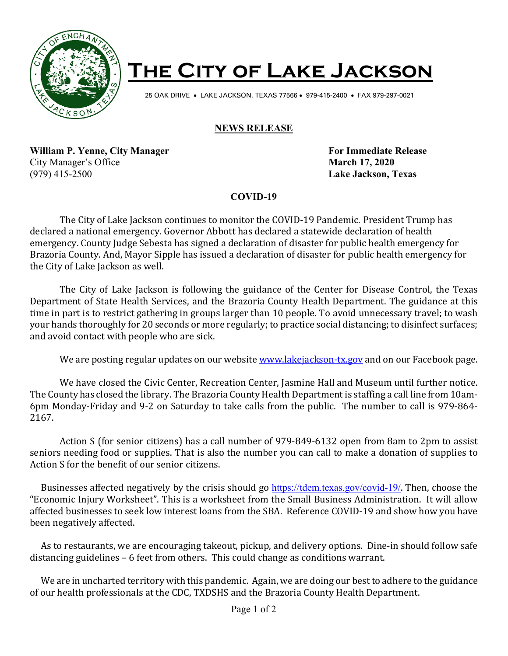

## **The City of Lake Jackson**

25 OAK DRIVE • LAKE JACKSON, TEXAS 77566 • 979-415-2400 • FAX 979-297-0021

## **NEWS RELEASE**

**William P. Yenne, City Manager For Immediate Release** City Manager's Office **March 17, 2020** (979) 415-2500 **Lake Jackson, Texas**

## **COVID-19**

The City of Lake Jackson continues to monitor the COVID-19 Pandemic. President Trump has declared a national emergency. Governor Abbott has declared a statewide declaration of health emergency. County Judge Sebesta has signed a declaration of disaster for public health emergency for Brazoria County. And, Mayor Sipple has issued a declaration of disaster for public health emergency for the City of Lake Jackson as well.

The City of Lake Jackson is following the guidance of the Center for Disease Control, the Texas Department of State Health Services, and the Brazoria County Health Department. The guidance at this time in part is to restrict gathering in groups larger than 10 people. To avoid unnecessary travel; to wash your hands thoroughly for 20 seconds or more regularly; to practice social distancing; to disinfect surfaces; and avoid contact with people who are sick.

We are posting regular updates on our websit[e www.lakejackson-tx.gov](http://www.lakejackson-tx.gov/) and on our Facebook page.

We have closed the Civic Center, Recreation Center, Jasmine Hall and Museum until further notice. The County has closed the library. The Brazoria County Health Department is staffing a call line from 10am-6pm Monday-Friday and 9-2 on Saturday to take calls from the public. The number to call is 979-864- 2167.

Action S (for senior citizens) has a call number of 979-849-6132 open from 8am to 2pm to assist seniors needing food or supplies. That is also the number you can call to make a donation of supplies to Action S for the benefit of our senior citizens.

 Businesses affected negatively by the crisis should go <https://tdem.texas.gov/covid-19/>. Then, choose the "Economic Injury Worksheet". This is a worksheet from the Small Business Administration. It will allow affected businesses to seek low interest loans from the SBA. Reference COVID-19 and show how you have been negatively affected.

 As to restaurants, we are encouraging takeout, pickup, and delivery options. Dine-in should follow safe distancing guidelines – 6 feet from others. This could change as conditions warrant.

 We are in uncharted territory with this pandemic. Again, we are doing our best to adhere to the guidance of our health professionals at the CDC, TXDSHS and the Brazoria County Health Department.